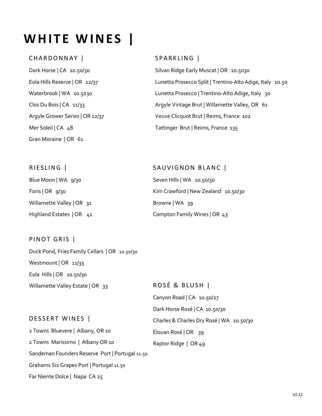# **WHITE WINES |**

#### CHARDONNAY |

Dark Horse | CA 10.50/30 Eola Hills Reserve | OR 12/37 Waterbrook | WA 10.5030 Clos Du Bois | CA 11/33 Argyle Grower Series | OR 12/37 Mer Soleil | CA 48 Gran Moraine | OR 61

#### SPARKLING |

SAUVIGNON BLANC |

Compton Family Wines | OR 43

Kim Crawford | New Zealand 10.50/30

Seven Hills | WA 10.50/30

Browne | WA 39

Silvan Ridge Early Muscat | OR 10.5030 Lunetta Prosecco Split | Trentino-Alto Adige, Italy 10.50 Lunetta Prosecco | Trentino-Alto Adige, Italy 30 Argyle Vintage Brut | Willamette Valley, OR 61 Veuve Clicquot Brut | Reims, France 102 Tattinger Brut | Reims, France 135

#### RIESLING |

Blue Moon | WA 9/30 Foris | OR 9/30 Willamette Valley | OR 31 Highland Estates | OR 41

#### PINOT GRIS |

Duck Pond, Fries Family Cellars | OR 10.50/30 Westmount | OR 11/33 Eola Hills | OR 10.50/30 Willamette Valley Estate | OR 33

ROSÉ & BLUSH | Canyon Road | CA 10.50/27 Dark Horse Rosé | CA 10.50/30 Charles & Charles Dry Rosé | WA 10.50/30 Elouan Rosé | OR 39 Raptor Ridge | OR 49

#### DESSERT WINES |

2 Towns Bluevere | Albany, OR 10 2 Towns Marissimo | Albany OR 10 Sandeman Founders Reserve Port | Portugal 11.50 Grahams Six Grapes Port | Portugal 11.50 Far Niente Dolce | Napa CA 25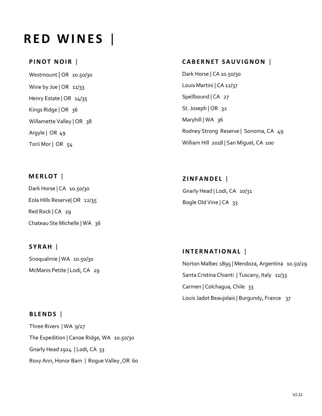# **R E D W I N E S** |

#### **PINOT NOIR |**

Westmount | OR 10.50/30 Wine by Joe | OR 11/33 Henry Estate | OR 14/35 Kings Ridge | OR 36 Willamette Valley | OR 38 Argyle | OR 49 Torii Mor | OR 54

# **CABERNET SAUVIGNON |**

Dark Horse | CA 10.50/30 Louis Martini | CA 12/37 Spellbound | CA 27 St. Joseph | OR 32 Maryhill | WA 36 Rodney Strong Reserve | Sonoma, CA 49 William Hill 2018 | San Miguel, CA 100

# **M E R L O T** | Dark Horse | CA 10.50/30 Eola Hills Reserve| OR 12/35 Red Rock | CA 29 Chateau Ste Michelle | WA 36

**S Y R A H** | Snoqualmie | WA 10.50/30 McManis Petite | Lodi, CA 29

#### **B L E N D S** |

Three Rivers | WA 9/27 The Expedition | Canoe Ridge, WA 10.50/30 Gnarly Head 1924 | Lodi, CA 33 Roxy Ann, Honor Barn | Rogue Valley ,OR 60 **Z I N F A N D E L** | Gnarly Head | Lodi, CA 10/31 Bogle Old Vine | CA 33

# **I N T E R N A T I O N A L** |

Norton Malbec 1895 | Mendoza, Argentina 10.50/29 Santa Cristina Chianti | Tuscany, Italy 11/33 Carmen | Colchagua, Chile 33 Louis Jadot Beaujolais | Burgundy, France 37